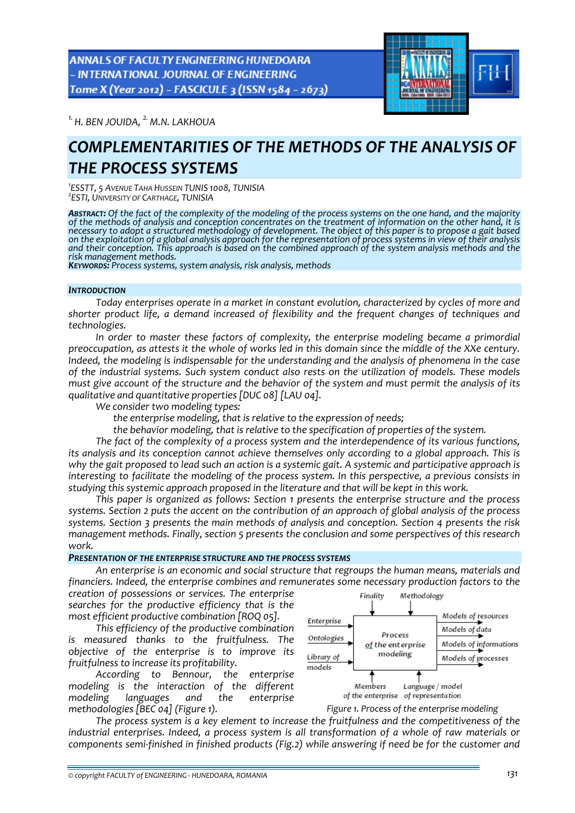**ANNALS OF FACULTY ENGINEERING HUNEDOARA** - INTERNATIONAL JOURNAL OF ENGINEERING Tome X (Year 2012) - FASCICULE 3 (ISSN 1584 - 2673)



*1. H. BEN JOUIDA, 2. M.N. LAKHOUA* 

# *COMPLEMENTARITIES OF THE METHODS OF THE ANALYSIS OF THE PROCESS SYSTEMS*

*1 ESSTT, <sup>5</sup> AVENUE TAHA HUSSEIN TUNIS 1008, TUNISIA <sup>2</sup> ESTI, UNIVERSITY OF CARTHAGE, TUNISIA*

**Abstract:** Of the fact of the complexity of the modeling of the process systems on the one hand, and the majority<br>of the methods of analysis and conception concentrates on the treatment of information on the other hand, i necessary to adopt a structured methodology of development. The object of this paper is to propose a gait based on the exploitation of a global analysis approach for the representation of process systems in view of their analysis<br>and their conception. This approach is based on the combined approach of the system analysis methods and

*risk management methods. KEYWORDS: Process systems, system analysis, risk analysis, methods*

## *INTRODUCTION*

*Today enterprises operate in a market in constant evolution, characterized by cycles of more and shorter product life, a demand increased of flexibility and the frequent changes of techniques and technologies.* 

*In order to master these factors of complexity, the enterprise modeling became a primordial* preoccupation, as attests it the whole of works led in this domain since the middle of the XXe century. *Indeed, the modeling is indispensable for the understanding and the analysis of phenomena in the case of the industrial systems. Such system conduct also rests on the utilization of models. These models* must give account of the structure and the behavior of the system and must permit the analysis of its *qualitative and quantitative properties [DUC 08] [LAU 04].* 

*We consider two modeling types:* 

*the enterprise modeling, that is relative to the expression of needs;* 

*the behavior modeling, that is relative to the specification of properties of the system.* 

*The fact of the complexity of a process system and the interdependence of its various functions, its analysis and its conception cannot achieve themselves only according to a global approach. This is* why the gait proposed to lead such an action is a systemic gait. A systemic and participative approach is *interesting to facilitate the modeling of the process system. In this perspective, a previous consists in studying this systemic approach proposed in the literature and that will be kept in this work.* 

*This paper is organized as follows: Section 1 presents the enterprise structure and the process* systems. Section 2 puts the accent on the contribution of an approach of global analysis of the process *systems. Section 3 presents the main methods of analysis and conception. Section 4 presents the risk management methods. Finally, section 5 presents the conclusion and some perspectives of this research work.*

# *PRESENTATION OF THE ENTERPRISE STRUCTURE AND THE PROCESS SYSTEMS*

*An enterprise is an economic and social structure that regroups the human means, materials and financiers. Indeed, the enterprise combines and remunerates some necessary production factors to the*

*creation of possessions or services. The enterprise searches for the productive efficiency that is the most efficient productive combination [ROQ 05].* 

*This efficiency of the productive combination is measured thanks to the fruitfulness. The objective of the enterprise is to improve its fruitfulness to increase its profitability.* 

*According to Bennour, the enterprise modeling is the interaction of the different modeling languages and the enterprise methodologies [BEC 04] (Figure 1).*



*Figure 1. Process of the enterprise modeling*

*The process system is a key element to increase the fruitfulness and the competitiveness of the industrial enterprises. Indeed, a process system is all transformation of a whole of raw materials or components semi‐finished in finished products (Fig.2) while answering if need be for the customer and*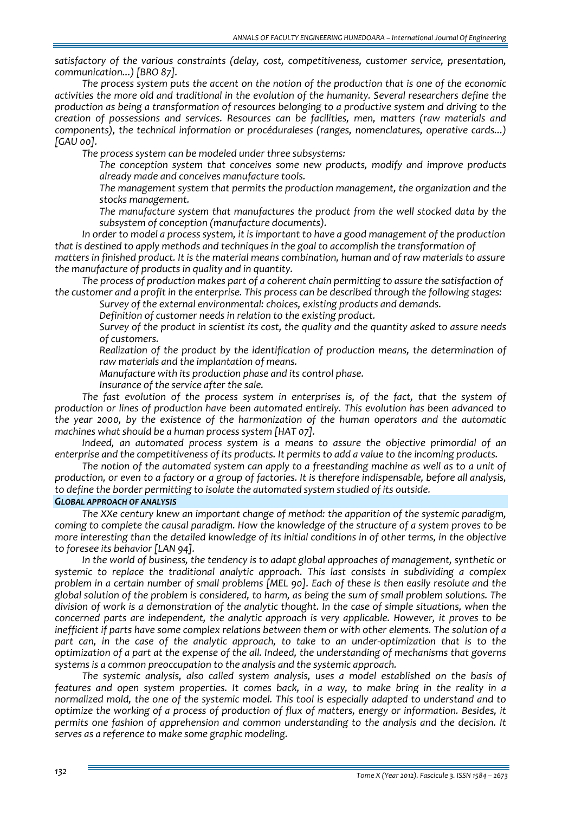*satisfactory of the various constraints (delay, cost, competitiveness, customer service, presentation, communication...) [BRO 87].*

*The process system puts the accent on the notion of the production that is one of the economic activities the more old and traditional in the evolution of the humanity. Several researchers define the production as being a transformation of resources belonging to a productive system and driving to the creation of possessions and services. Resources can be facilities, men, matters (raw materials and components), the technical information or procéduraleses (ranges, nomenclatures, operative cards...) [GAU 00].* 

*The process system can be modeled under three subsystems:* 

 *The conception system that conceives some new products, modify and improve products already made and conceives manufacture tools.* 

 *The management system that permits the production management, the organization and the stocks management.* 

 *The manufacture system that manufactures the product from the well stocked data by the subsystem of conception (manufacture documents).* 

*In order to model a process system, it is important to have a good management of the production that is destined to apply methods and techniques in the goal to accomplish the transformation of*

*matters in finished product. It is the material means combination, human and of raw materials to assure the manufacture of products in quality and in quantity.* 

*The process of production makes part of a coherent chain permitting to assure the satisfaction of the customer and a profit in the enterprise. This process can be described through the following stages:*

*Survey of the external environmental: choices, existing products and demands.* 

*Definition of customer needs in relation to the existing product.* 

 *Survey of the product in scientist its cost, the quality and the quantity asked to assure needs of customers.* 

 *Realization of the product by the identification of production means, the determination of raw materials and the implantation of means.* 

*Manufacture with its production phase and its control phase.* 

*Insurance of the service after the sale.* 

*The fast evolution of the process system in enterprises is, of the fact, that the system of production or lines of production have been automated entirely. This evolution has been advanced to the year 2000, by the existence of the harmonization of the human operators and the automatic machines what should be a human process system [HAT 07].* 

*Indeed, an automated process system is a means to assure the objective primordial of an enterprise and the competitiveness of its products. It permits to add a value to the incoming products.*

The notion of the automated system can apply to a freestanding machine as well as to a unit of production, or even to a factory or a group of factories. It is therefore indispensable, before all analysis, *to define the border permitting to isolate the automated system studied of its outside.*

### *GLOBAL APPROACH OF ANALYSIS*

*The XXe century knew an important change of method: the apparition of the systemic paradigm,* coming to complete the causal paradigm. How the knowledge of the structure of a system proves to be more interesting than the detailed knowledge of its initial conditions in of other terms, in the objective *to foresee its behavior [LAN 94].* 

*In the world of business, the tendency is to adapt global approaches of management, synthetic or systemic to replace the traditional analytic approach. This last consists in subdividing a complex* problem in a certain number of small problems [MEL 90]. Each of these is then easily resolute and the global solution of the problem is considered, to harm, as being the sum of small problem solutions. The division of work is a demonstration of the analytic thought. In the case of simple situations, when the *concerned parts are independent, the analytic approach is very applicable. However, it proves to be inefficient if parts have some complex relations between them or with other elements. The solution of a* part can, in the case of the analytic approach, to take to an under-optimization that is to the *optimization of a part at the expense of the all. Indeed, the understanding of mechanisms that governs systems is a common preoccupation to the analysis and the systemic approach.* 

*The systemic analysis, also called system analysis, uses a model established on the basis of* features and open system properties. It comes back, in a way, to make bring in the reality in a *normalized mold, the one of the systemic model. This tool is especially adapted to understand and to optimize the working of a process of production of flux of matters, energy or information. Besides, it permits one fashion of apprehension and common understanding to the analysis and the decision. It serves as a reference to make some graphic modeling.*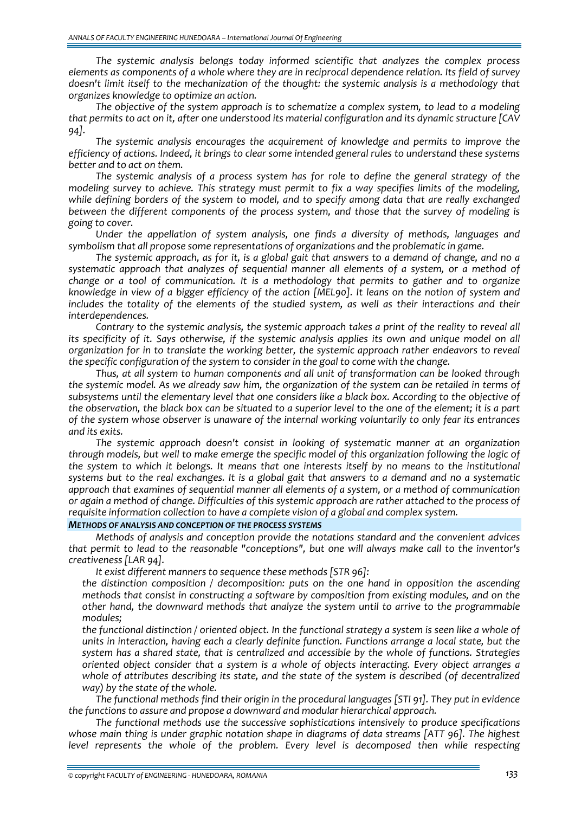*The systemic analysis belongs today informed scientific that analyzes the complex process elements as components of a whole where they are in reciprocal dependence relation. Its field of survey doesn't limit itself to the mechanization of the thought: the systemic analysis is a methodology that organizes knowledge to optimize an action.*

*The objective of the system approach is to schematize a complex system, to lead to a modeling that permits to act on it, after one understood its material configuration and its dynamic structure [CAV 94].* 

*The systemic analysis encourages the acquirement of knowledge and permits to improve the efficiency of actions. Indeed, it brings to clear some intended general rules to understand these systems better and to act on them.* 

*The systemic analysis of a process system has for role to define the general strategy of the modeling survey to achieve. This strategy must permit to fix a way specifies limits of the modeling, while defining borders of the system to model, and to specify among data that are really exchanged between the different components of the process system, and those that the survey of modeling is going to cover.* 

*Under the appellation of system analysis, one finds a diversity of methods, languages and symbolism that all propose some representations of organizations and the problematic in game.* 

The systemic approach, as for it, is a global gait that answers to a demand of change, and no a *systematic approach that analyzes of sequential manner all elements of a system, or a method of change or a tool of communication. It is a methodology that permits to gather and to organize* knowledge in view of a bigger efficiency of the action [MEL90]. It leans on the notion of system and *includes the totality of the elements of the studied system, as well as their interactions and their interdependences.* 

*Contrary to the systemic analysis, the systemic approach takes a print of the reality to reveal all* its specificity of it. Says otherwise, if the systemic analysis applies its own and unique model on all *organization for in to translate the working better, the systemic approach rather endeavors to reveal the specific configuration of the system to consider in the goal to come with the change.* 

*Thus, at all system to human components and all unit of transformation can be looked through* the systemic model. As we already saw him, the organization of the system can be retailed in terms of *subsystems until the elementary level that one considers like a black box. According to the objective of* the observation, the black box can be situated to a superior level to the one of the element; it is a part *of the system whose observer is unaware of the internal working voluntarily to only fear its entrances and its exits.* 

*The systemic approach doesn't consist in looking of systematic manner at an organization through models, but well to make emerge the specific model of this organization following the logic of* the system to which it belongs. It means that one interests itself by no means to the institutional systems but to the real exchanges. It is a global gait that answers to a demand and no a systematic *approach that examines of sequential manner all elements of a system, or a method of communication* or again a method of change. Difficulties of this systemic approach are rather attached to the process of *requisite information collection to have a complete vision of a global and complex system.*

*METHODS OF ANALYSIS AND CONCEPTION OF THE PROCESS SYSTEMS*

*Methods of analysis and conception provide the notations standard and the convenient advices that permit to lead to the reasonable "conceptions", but one will always make call to the inventor's creativeness [LAR 94].* 

*It exist different manners to sequence these methods [STR 96]:*

 *the distinction composition / decomposition: puts on the one hand in opposition the ascending methods that consist in constructing a software by composition from existing modules, and on the other hand, the downward methods that analyze the system until to arrive to the programmable modules;* 

the functional distinction / oriented object. In the functional strategy a system is seen like a whole of *units in interaction, having each a clearly definite function. Functions arrange a local state, but the system has a shared state, that is centralized and accessible by the whole of functions. Strategies oriented object consider that a system is a whole of objects interacting. Every object arranges a whole of attributes describing its state, and the state of the system is described (of decentralized way) by the state of the whole.* 

*The functional methods find their origin in the procedural languages [STI 91]. They put in evidence the functions to assure and propose a downward and modular hierarchical approach.* 

*The functional methods use the successive sophistications intensively to produce specifications whose main thing is under graphic notation shape in diagrams of data streams [ATT 96]. The highest level represents the whole of the problem. Every level is decomposed then while respecting*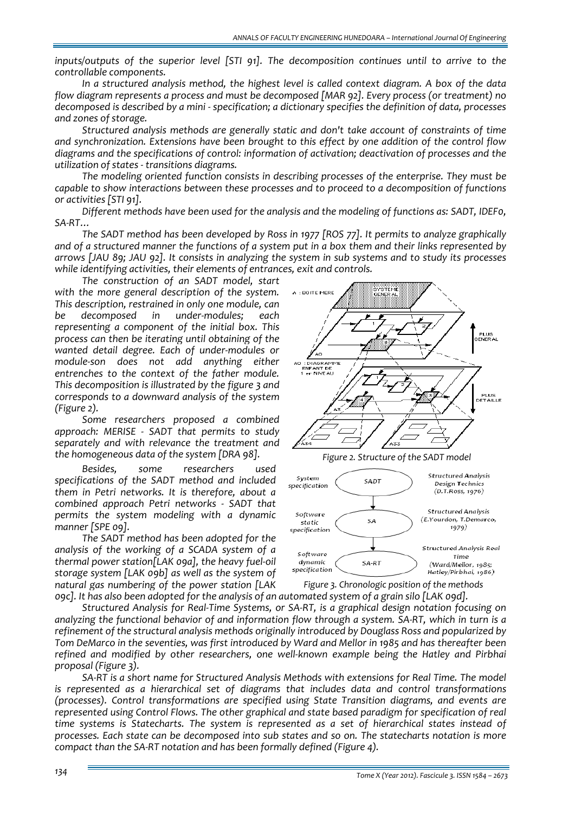*inputs/outputs of the superior level [STI 91]. The decomposition continues until to arrive to the controllable components.* 

*In a structured analysis method, the highest level is called context diagram. A box of the data flow diagram represents a process and must be decomposed [MAR 92]. Every process (or treatment) no decomposed is described by a mini ‐ specification; a dictionary specifies the definition of data, processes and zones of storage.* 

*Structured analysis methods are generally static and don't take account of constraints of time and synchronization. Extensions have been brought to this effect by one addition of the control flow diagrams and the specifications of control: information of activation; deactivation of processes and the utilization of states ‐ transitions diagrams.* 

*The modeling oriented function consists in describing processes of the enterprise. They must be capable to show interactions between these processes and to proceed to a decomposition of functions or activities [STI 91].* 

*Different methods have been used for the analysis and the modeling of functions as: SADT, IDEF0, SA‐RT…* 

*The SADT method has been developed by Ross in 1977 [ROS 77]. It permits to analyze graphically* and of a structured manner the functions of a system put in a box them and their links represented by arrows [JAU 89; JAU 92]. It consists in analyzing the system in sub systems and to study its processes *while identifying activities, their elements of entrances, exit and controls.*

*The construction of an SADT model, start with the more general description of the system. This description, restrained in only one module, can be decomposed in under‐modules; each representing a component of the initial box. This process can then be iterating until obtaining of the wanted detail degree. Each of under‐modules or module‐son does not add anything either entrenches to the context of the father module. This decomposition is illustrated by the figure 3 and corresponds to a downward analysis of the system (Figure 2).*

*Some researchers proposed a combined approach: MERISE ‐ SADT that permits to study separately and with relevance the treatment and the homogeneous data of the system [DRA 98].* 

*Besides, some researchers used specifications of the SADT method and included them in Petri networks. It is therefore, about a combined approach Petri networks ‐ SADT that permits the system modeling with a dynamic manner [SPE 09].* 

*The SADT method has been adopted for the analysis of the working of a SCADA system of a thermal power station[LAK 09a], the heavy fuel‐oil storage system [LAK 09b] as well as the system of natural gas numbering of the power station [LAK*



*Figure 3. Chronologic position of the methods*

ogc]. It has also been adopted for the analysis of an automated system of a grain silo [LAK ogd]. *Structured Analysis for Real‐Time Systems, or SA‐RT, is a graphical design notation focusing on* analyzing the functional behavior of and information flow through a system. SA-RT, which in turn is a *refinement of the structural analysis methods originally introduced by Douglass Ross and popularized by* Tom DeMarco in the seventies, was first introduced by Ward and Mellor in 1985 and has thereafter been *refined and modified by other researchers, one well‐known example being the Hatley and Pirbhai proposal (Figure 3).*

*SA‐RT is a short name for Structured Analysis Methods with extensions for Real Time. The model is represented as a hierarchical set of diagrams that includes data and control transformations (processes). Control transformations are specified using State Transition diagrams, and events are represented using Control Flows. The other graphical and state based paradigm for specification of real time systems is Statecharts. The system is represented as a set of hierarchical states instead of processes. Each state can be decomposed into sub states and so on. The statecharts notation is more compact than the SA‐RT notation and has been formally defined (Figure 4).*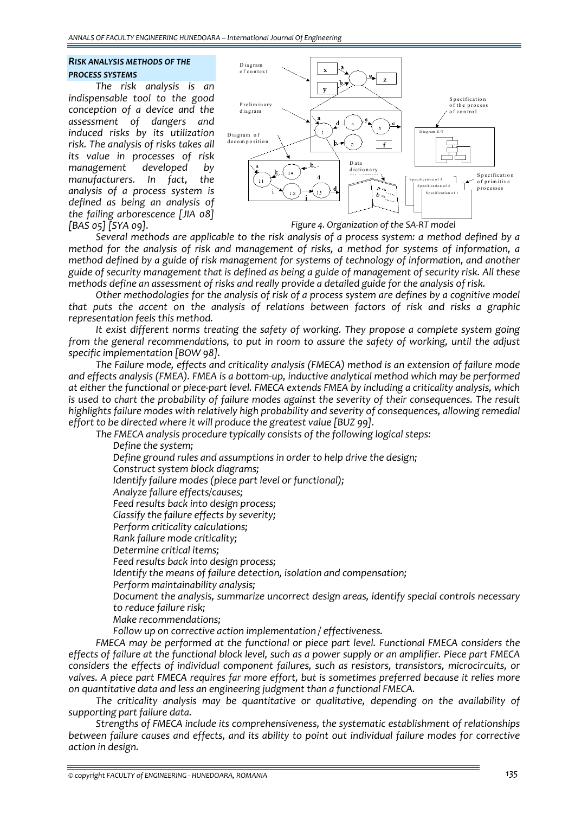# *RISK ANALYSIS METHODS OF THE PROCESS SYSTEMS*

*The risk analysis is an indispensable tool to the good conception of a device and the assessment of dangers and induced risks by its utilization risk. The analysis of risks takes all its value in processes of risk management developed by manufacturers. In fact, the analysis of a process system is defined as being an analysis of the failing arborescence [JIA 08] [BAS 05] [SYA 09].* 



*Figure 4. Organization of the SA‐RT model*

*Several methods are applicable to the risk analysis of a process system: a method defined by a method for the analysis of risk and management of risks, a method for systems of information, a method defined by a guide of risk management for systems of technology of information, and another* guide of security management that is defined as being a guide of management of security risk. All these methods define an assessment of risks and really provide a detailed guide for the analysis of risk.

*Other methodologies for the analysis of risk of a process system are defines by a cognitive model that puts the accent on the analysis of relations between factors of risk and risks a graphic representation feels this method.* 

*It exist different norms treating the safety of working. They propose a complete system going from the general recommendations, to put in room to assure the safety of working, until the adjust specific implementation [BOW 98].* 

*The Failure mode, effects and criticality analysis (FMECA) method is an extension of failure mode and effects analysis (FMEA). FMEA is a bottom‐up, inductive analytical method which may be performed* at either the functional or piece-part level. FMECA extends FMEA by including a criticality analysis, which *is used to chart the probability of failure modes against the severity of their consequences. The result highlights failure modes with relatively high probability and severity of consequences, allowing remedial effort to be directed where it will produce the greatest value [BUZ 99].* 

*The FMECA analysis procedure typically consists of the following logical steps:*

 *Define the system; Define ground rules and assumptions in order to help drive the design; Construct system block diagrams; Identify failure modes (piece part level or functional); Analyze failure effects/causes; Feed results back into design process; Classify the failure effects by severity; Perform criticality calculations; Rank failure mode criticality; Determine critical items; Feed results back into design process; Identify the means of failure detection, isolation and compensation; Perform maintainability analysis; Document the analysis, summarize uncorrect design areas, identify special controls necessary to reduce failure risk; Make recommendations;*

*Follow up on corrective action implementation / effectiveness.*

*FMECA may be performed at the functional or piece part level. Functional FMECA considers the* effects of failure at the functional block level, such as a power supply or an amplifier. Piece part FMECA *considers the effects of individual component failures, such as resistors, transistors, microcircuits, or valves. A piece part FMECA requires far more effort, but is sometimes preferred because it relies more on quantitative data and less an engineering judgment than a functional FMECA.*

*The criticality analysis may be quantitative or qualitative, depending on the availability of supporting part failure data.*

*Strengths of FMECA include its comprehensiveness, the systematic establishment of relationships between failure causes and effects, and its ability to point out individual failure modes for corrective action in design.*